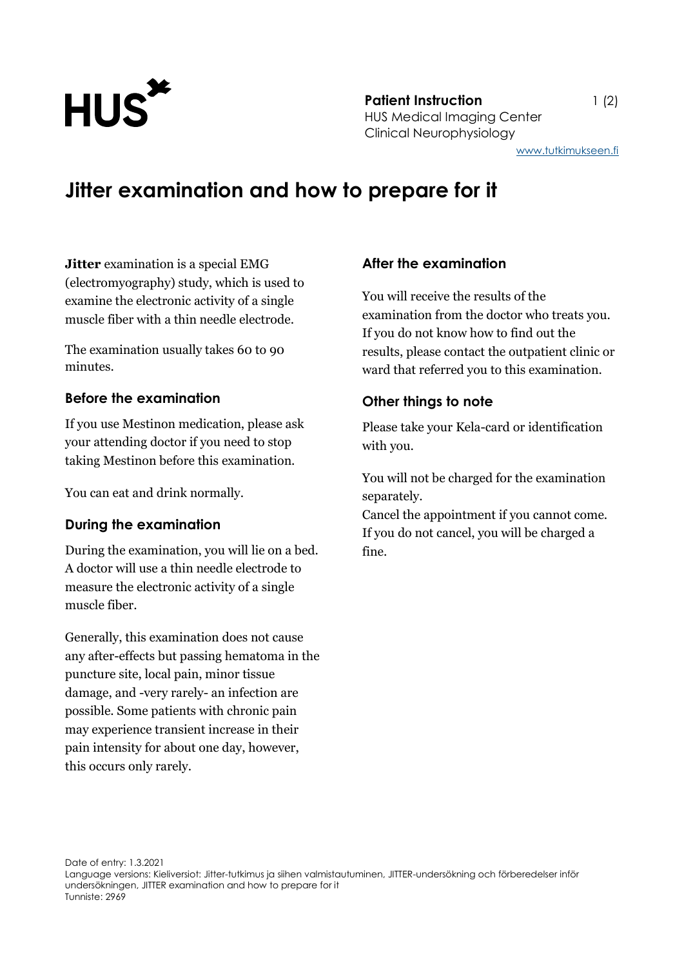

**Patient Instruction** 1 (2) HUS Medical Imaging Center Clinical Neurophysiology

# **Jitter examination and how to prepare for it**

**Jitter** examination is a special EMG (electromyography) study, which is used to examine the electronic activity of a single muscle fiber with a thin needle electrode.

The examination usually takes 60 to 90 minutes.

## **Before the examination**

If you use Mestinon medication, please ask your attending doctor if you need to stop taking Mestinon before this examination.

You can eat and drink normally.

## **During the examination**

During the examination, you will lie on a bed. A doctor will use a thin needle electrode to measure the electronic activity of a single muscle fiber.

Generally, this examination does not cause any after-effects but passing hematoma in the puncture site, local pain, minor tissue damage, and -very rarely- an infection are possible. Some patients with chronic pain may experience transient increase in their pain intensity for about one day, however, this occurs only rarely.

#### **After the examination**

You will receive the results of the examination from the doctor who treats you. If you do not know how to find out the results, please contact the outpatient clinic or ward that referred you to this examination.

#### **Other things to note**

Please take your Kela-card or identification with you.

You will not be charged for the examination separately.

Cancel the appointment if you cannot come. If you do not cancel, you will be charged a fine.

Date of entry: 1.3.2021 Language versions: Kieliversiot: Jitter-tutkimus ja siihen valmistautuminen, JITTER-undersökning och förberedelser inför undersökningen, JITTER examination and how to prepare for it Tunniste: 2969